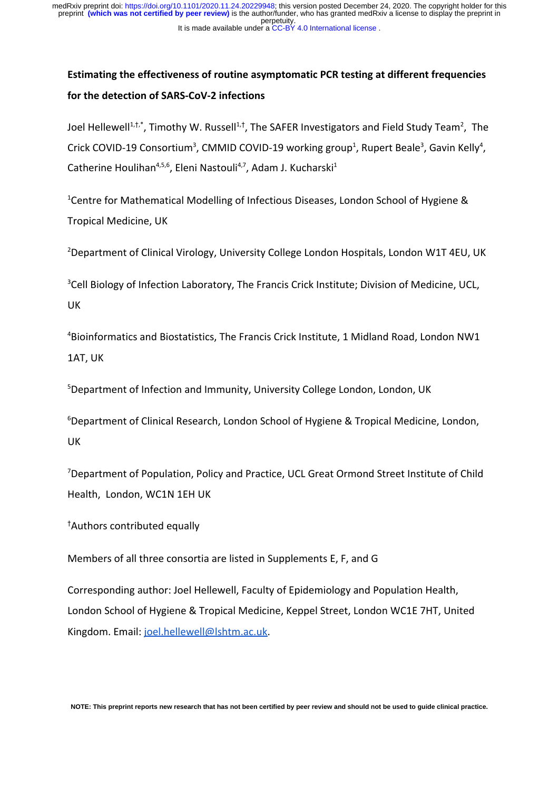It is made available under a CC-BY 4.0 International license. perpetuity. preprint **(which was not certified by peer review)** is the author/funder, who has granted medRxiv a license to display the preprint in medRxiv preprint doi: [https://doi.org/10.1101/2020.11.24.20229948;](https://doi.org/10.1101/2020.11.24.20229948) this version posted December 24, 2020. The copyright holder for this

# **Estimating the effectiveness of routine asymptomatic PCR testing at different frequencies for the detection of SARS-CoV-2 infections**

Joel Hellewell<sup>1,†,\*</sup>, Timothy W. Russell<sup>1,†</sup>, The SAFER Investigators and Field Study Team<sup>2</sup>, The Crick COVID-19 Consortium<sup>3</sup>, CMMID COVID-19 working group<sup>1</sup>, Rupert Beale<sup>3</sup>, Gavin Kelly<sup>4</sup>, Catherine Houlihan<sup>4,5,6</sup>, Eleni Nastouli<sup>4,7</sup>, Adam J. Kucharski<sup>1</sup>

<sup>1</sup>Centre for Mathematical Modelling of Infectious Diseases, London School of Hygiene & Tropical Medicine, UK

<sup>2</sup>Department of Clinical Virology, University College London Hospitals, London W1T 4EU, UK

<sup>3</sup>Cell Biology of Infection Laboratory, The Francis Crick Institute; Division of Medicine, UCL, UK

<sup>4</sup>Bioinformatics and Biostatistics, The Francis Crick Institute, 1 Midland Road, London NW1 1AT, UK

<sup>5</sup>Department of Infection and Immunity, University College London, London, UK

<sup>6</sup>Department of Clinical Research, London School of Hygiene & Tropical Medicine, London, UK

<sup>7</sup>Department of Population, Policy and Practice, UCL Great Ormond Street Institute of Child Health, London, WC1N 1EH UK

†Authors contributed equally

Members of all three consortia are listed in Supplements E, F, and G

Corresponding author: Joel Hellewell, Faculty of Epidemiology and Population Health, London School of Hygiene & Tropical Medicine, Keppel Street, London WC1E 7HT, United Kingdom. Email: [joel.hellewell@lshtm.ac.uk](mailto:joel.hellewell@lshtm.ac.uk).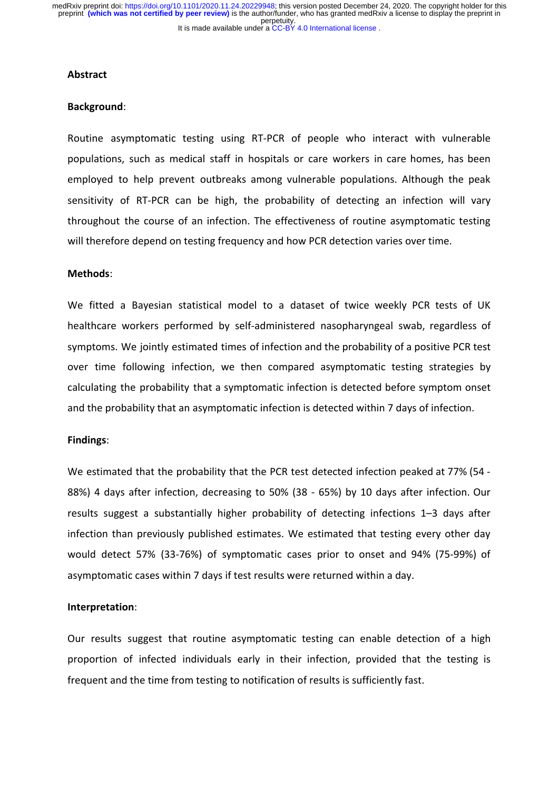#### **Abstract**

#### **Background**:

Routine asymptomatic testing using RT-PCR of people who interact with vulnerable populations, such as medical staff in hospitals or care workers in care homes, has been employed to help prevent outbreaks among vulnerable populations. Although the peak sensitivity of RT-PCR can be high, the probability of detecting an infection will vary throughout the course of an infection. The effectiveness of routine asymptomatic testing will therefore depend on testing frequency and how PCR detection varies over time.

#### **Methods**:

We fitted a Bayesian statistical model to a dataset of twice weekly PCR tests of UK healthcare workers performed by self-administered nasopharyngeal swab, regardless of symptoms. We jointly estimated times of infection and the probability of a positive PCR test over time following infection, we then compared asymptomatic testing strategies by calculating the probability that a symptomatic infection is detected before symptom onset and the probability that an asymptomatic infection is detected within 7 days of infection.

#### **Findings**:

We estimated that the probability that the PCR test detected infection peaked at 77% (54 - 88%) 4 days after infection, decreasing to 50% (38 - 65%) by 10 days after infection. Our results suggest a substantially higher probability of detecting infections 1–3 days after infection than previously published estimates. We estimated that testing every other day would detect 57% (33-76%) of symptomatic cases prior to onset and 94% (75-99%) of asymptomatic cases within 7 days if test results were returned within a day.

#### **Interpretation**:

Our results suggest that routine asymptomatic testing can enable detection of a high proportion of infected individuals early in their infection, provided that the testing is frequent and the time from testing to notification of results is sufficiently fast.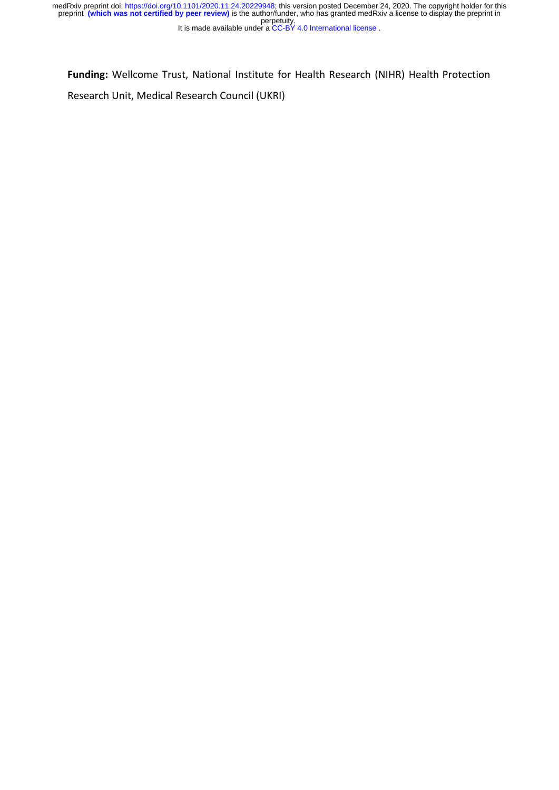perpetuity. medRxiv preprint doi: [https://doi.org/10.1101/2020.11.24.20229948;](https://doi.org/10.1101/2020.11.24.20229948) this version posted December 24, 2020. The copyright holder for this<br>preprint (which was not certified by peer review) is the author/funder, who has grante

It is made available under a CC-BY 4.0 International license.

**Funding:** Wellcome Trust, National Institute for Health Research (NIHR) Health Protection Research Unit, Medical Research Council (UKRI)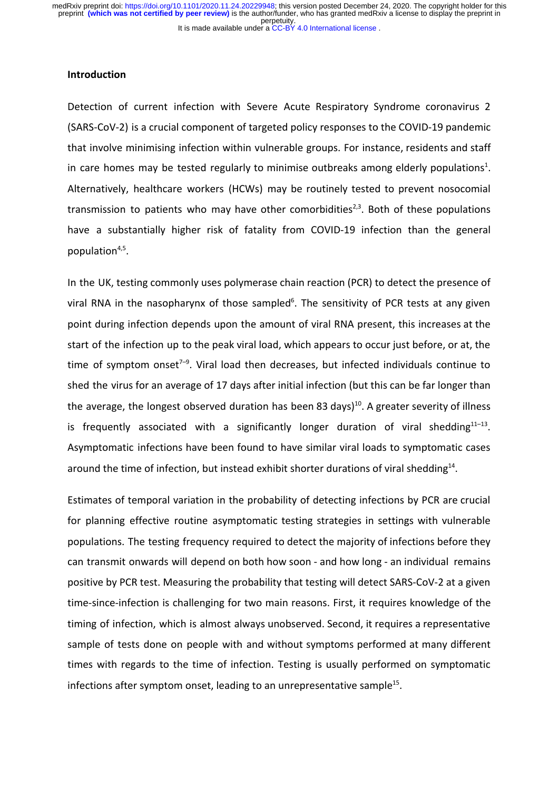### **Introduction**

Detection of current infection with Severe Acute Respiratory Syndrome coronavirus 2 (SARS-CoV-2) is a crucial component of targeted policy responses to the COVID-19 pandemic that involve minimising infection within vulnerable groups. For instance, residents and staff in care homes may be tested regularly to minimise outbreaks among elderly populations<sup>1</sup>. Alternatively, healthcare workers (HCWs) may be routinely tested to prevent nosocomial transmission to patients who may have other comorbidities<sup>2,3</sup>. Both of these populations have a substantially higher risk of fatality from COVID-19 infection than the general population<sup>4,5</sup>.

In the UK, testing commonly uses polymerase chain reaction (PCR) to detect the presence of viral RNA in the nasopharynx of those sampled<sup>6</sup>. The sensitivity of PCR tests at any given point during infection depends upon the amount of viral RNA present, this increases at the start of the infection up to the peak viral load, which appears to occur just before, or at, the time of symptom onset<sup>7-9</sup>. Viral load then decreases, but infected individuals continue to shed the virus for an average of 17 days after initial infection (but this can be far longer than the average, the longest observed duration has been 83 days)<sup>10</sup>. A greater severity of illness is frequently associated with a significantly longer duration of viral shedding $^{11-13}$ . Asymptomatic infections have been found to have similar viral loads to symptomatic cases around the time of infection, but instead exhibit shorter durations of viral shedding<sup>14</sup>.

Estimates of temporal variation in the probability of detecting infections by PCR are crucial for planning effective routine asymptomatic testing strategies in settings with vulnerable populations. The testing frequency required to detect the majority of infections before they can transmit onwards will depend on both how soon - and how long - an individual remains positive by PCR test. Measuring the probability that testing will detect SARS-CoV-2 at a given time-since-infection is challenging for two main reasons. First, it requires knowledge of the timing of infection, which is almost always unobserved. Second, it requires a representative sample of tests done on people with and without symptoms performed at many different times with regards to the time of infection. Testing is usually performed on symptomatic infections after symptom onset, leading to an unrepresentative sample<sup>15</sup>.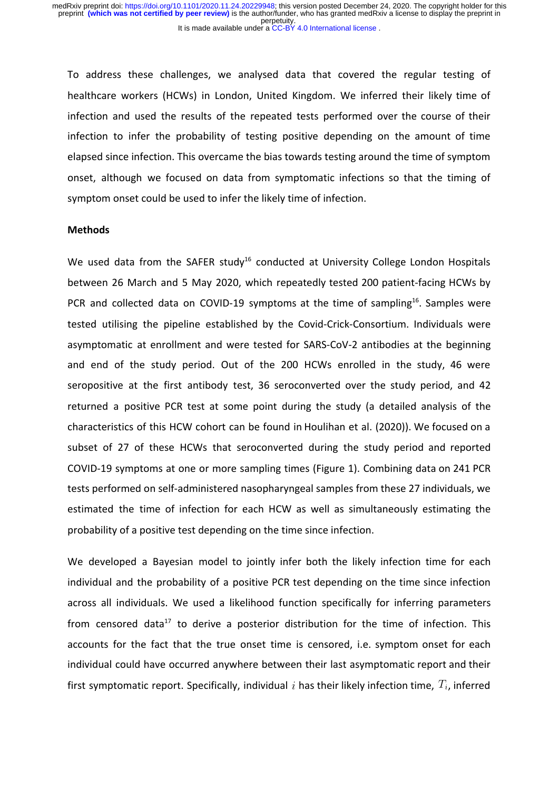To address these challenges, we analysed data that covered the regular testing of healthcare workers (HCWs) in London, United Kingdom. We inferred their likely time of infection and used the results of the repeated tests performed over the course of their infection to infer the probability of testing positive depending on the amount of time elapsed since infection. This overcame the bias towards testing around the time of symptom onset, although we focused on data from symptomatic infections so that the timing of symptom onset could be used to infer the likely time of infection.

#### **Methods**

We used data from the SAFER study<sup>16</sup> conducted at University College London Hospitals between 26 March and 5 May 2020, which repeatedly tested 200 patient-facing HCWs by PCR and collected data on COVID-19 symptoms at the time of sampling<sup>16</sup>. Samples were tested utilising the pipeline established by the Covid-Crick-Consortium. Individuals were asymptomatic at enrollment and were tested for SARS-CoV-2 antibodies at the beginning and end of the study period. Out of the 200 HCWs enrolled in the study, 46 were seropositive at the first antibody test, 36 seroconverted over the study period, and 42 returned a positive PCR test at some point during the study (a detailed analysis of the characteristics of this HCW cohort can be found in Houlihan et al. (2020)). We focused on a subset of 27 of these HCWs that seroconverted during the study period and reported COVID-19 symptoms at one or more sampling times (Figure 1). Combining data on 241 PCR tests performed on self-administered nasopharyngeal samples from these 27 individuals, we estimated the time of infection for each HCW as well as simultaneously estimating the probability of a positive test depending on the time since infection.

We developed a Bayesian model to jointly infer both the likely infection time for each individual and the probability of a positive PCR test depending on the time since infection across all individuals. We used a likelihood function specifically for inferring parameters from censored data<sup>17</sup> to derive a posterior distribution for the time of infection. This accounts for the fact that the true onset time is censored, i.e. symptom onset for each individual could have occurred anywhere between their last asymptomatic report and their first symptomatic report. Specifically, individual i has their likely infection time,  $T_i$ , inferred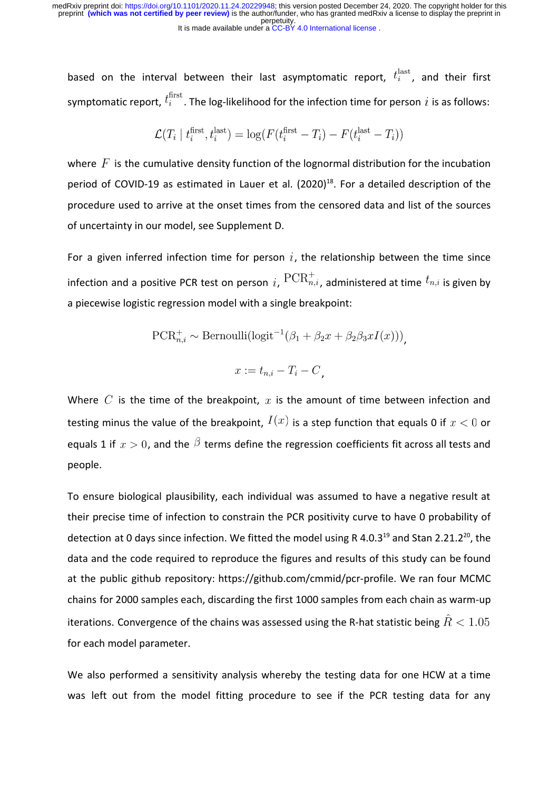It is made available under a CC-BY 4.0 International license. perpetuity. preprint **(which was not certified by peer review)** is the author/funder, who has granted medRxiv a license to display the preprint in medRxiv preprint doi: [https://doi.org/10.1101/2020.11.24.20229948;](https://doi.org/10.1101/2020.11.24.20229948) this version posted December 24, 2020. The copyright holder for this

based on the interval between their last asymptomatic report,  $t_i^{\text{last}}$ , and their first symptomatic report,  $t_i^{\text{first}}$ [.](https://www.codecogs.com/eqnedit.php?latex=t_i%5E%7B%5Ctext%7Bfirst%7D%7D#0) The log-likelihood for the infection time for person  $i$  is as follows:

$$
\mathcal{L}(T_i \mid t_i^{\text{first}}, t_i^{\text{last}}) = \log(F(t_i^{\text{first}} - T_i) - F(t_i^{\text{last}} - T_i))
$$

where  $F$  is the cumulative density function of the lognormal distribution for the incubation period of COVID-19 as estimated in Lauer et al.  $(2020)^{18}$ . For a detailed description of the procedure used to arrive at the onset times from the censored data and list of the sources of uncertainty in our model, see Supplement D.

For a given inferred infection time for person  $i$ , the relationship between the time since infection and a positive PCR test on person  $i$ ,  $\text{PCR}_{n,i}^+$ , administered at time  $t_{n,i}$  is given by a piecewise logistic regression model with a single breakpoint:

$$
\text{PCR}_{n,i}^{+} \sim \text{Bernoulli}(\text{logit}^{-1}(\beta_1 + \beta_2 x + \beta_2 \beta_3 x I(x))),
$$
  

$$
x := t_{n,i} - T_i - C
$$

Where  $C$  is the time of the breakpoint,  $x$  is the amount of time between infection and testing minus the value of the breakpoint,  $I(x)$  is a step function that equals 0 if  $x < 0$  or equals 1 if  $x > 0$ , and the  $\beta$  terms define the regression coefficients fit across all tests and people.

To ensure biological plausibility, each individual was assumed to have a negative result at their precise time of infection to constrain the PCR positivity curve to have 0 probability of detection at 0 days since infection. We fitted the model using R 4.0.3<sup>19</sup> and Stan 2.21.2<sup>20</sup>, the data and the code required to reproduce the figures and results of this study can be found at the public github repository: https://github.com/cmmid/pcr-profile. We ran four MCMC chains for 2000 samples each, discarding the first 1000 samples from each chain as warm-up iterations. Convergence of the chains was assessed using the R-hat statistic being  $\hat{R} < 1.05$ for each model parameter.

We also performed a sensitivity analysis whereby the testing data for one HCW at a time was left out from the model fitting procedure to see if the PCR testing data for any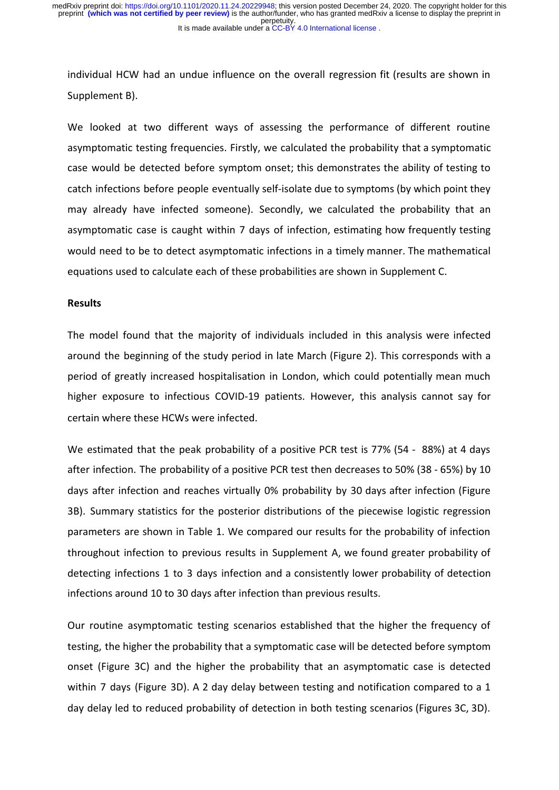individual HCW had an undue influence on the overall regression fit (results are shown in Supplement B).

We looked at two different ways of assessing the performance of different routine asymptomatic testing frequencies. Firstly, we calculated the probability that a symptomatic case would be detected before symptom onset; this demonstrates the ability of testing to catch infections before people eventually self-isolate due to symptoms (by which point they may already have infected someone). Secondly, we calculated the probability that an asymptomatic case is caught within 7 days of infection, estimating how frequently testing would need to be to detect asymptomatic infections in a timely manner. The mathematical equations used to calculate each of these probabilities are shown in Supplement C.

#### **Results**

The model found that the majority of individuals included in this analysis were infected around the beginning of the study period in late March (Figure 2). This corresponds with a period of greatly increased hospitalisation in London, which could potentially mean much higher exposure to infectious COVID-19 patients. However, this analysis cannot say for certain where these HCWs were infected.

We estimated that the peak probability of a positive PCR test is 77% (54 - 88%) at 4 days after infection. The probability of a positive PCR test then decreases to 50% (38 - 65%) by 10 days after infection and reaches virtually 0% probability by 30 days after infection (Figure 3B). Summary statistics for the posterior distributions of the piecewise logistic regression parameters are shown in Table 1. We compared our results for the probability of infection throughout infection to previous results in Supplement A, we found greater probability of detecting infections 1 to 3 days infection and a consistently lower probability of detection infections around 10 to 30 days after infection than previous results.

Our routine asymptomatic testing scenarios established that the higher the frequency of testing, the higher the probability that a symptomatic case will be detected before symptom onset (Figure 3C) and the higher the probability that an asymptomatic case is detected within 7 days (Figure 3D). A 2 day delay between testing and notification compared to a 1 day delay led to reduced probability of detection in both testing scenarios (Figures 3C, 3D).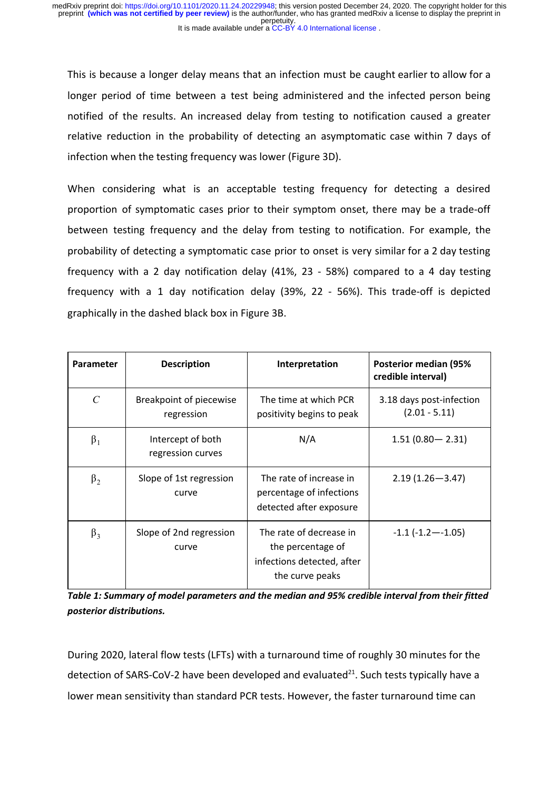This is because a longer delay means that an infection must be caught earlier to allow for a longer period of time between a test being administered and the infected person being notified of the results. An increased delay from testing to notification caused a greater relative reduction in the probability of detecting an asymptomatic case within 7 days of infection when the testing frequency was lower (Figure 3D).

When considering what is an acceptable testing frequency for detecting a desired proportion of symptomatic cases prior to their symptom onset, there may be a trade-off between testing frequency and the delay from testing to notification. For example, the probability of detecting a symptomatic case prior to onset is very similar for a 2 day testing frequency with a 2 day notification delay (41%, 23 - 58%) compared to a 4 day testing frequency with a 1 day notification delay (39%, 22 - 56%). This trade-off is depicted graphically in the dashed black box in Figure 3B.

| <b>Parameter</b> | <b>Description</b>                     | Interpretation                                                                                | <b>Posterior median (95%</b><br>credible interval) |
|------------------|----------------------------------------|-----------------------------------------------------------------------------------------------|----------------------------------------------------|
| $\mathcal{C}$    | Breakpoint of piecewise<br>regression  | The time at which PCR<br>positivity begins to peak                                            | 3.18 days post-infection<br>$(2.01 - 5.11)$        |
| $\beta_1$        | Intercept of both<br>regression curves | N/A                                                                                           | $1.51(0.80 - 2.31)$                                |
| $\beta_2$        | Slope of 1st regression<br>curve       | The rate of increase in<br>percentage of infections<br>detected after exposure                | $2.19(1.26 - 3.47)$                                |
| $\beta_3$        | Slope of 2nd regression<br>curve       | The rate of decrease in<br>the percentage of<br>infections detected, after<br>the curve peaks | $-1.1$ $(-1.2 - -1.05)$                            |

| Table 1: Summary of model parameters and the median and 95% credible interval from their fitted |  |
|-------------------------------------------------------------------------------------------------|--|
| posterior distributions.                                                                        |  |

During 2020, lateral flow tests (LFTs) with a turnaround time of roughly 30 minutes for the detection of SARS-CoV-2 have been developed and evaluated $^{21}$ . Such tests typically have a lower mean sensitivity than standard PCR tests. However, the faster turnaround time can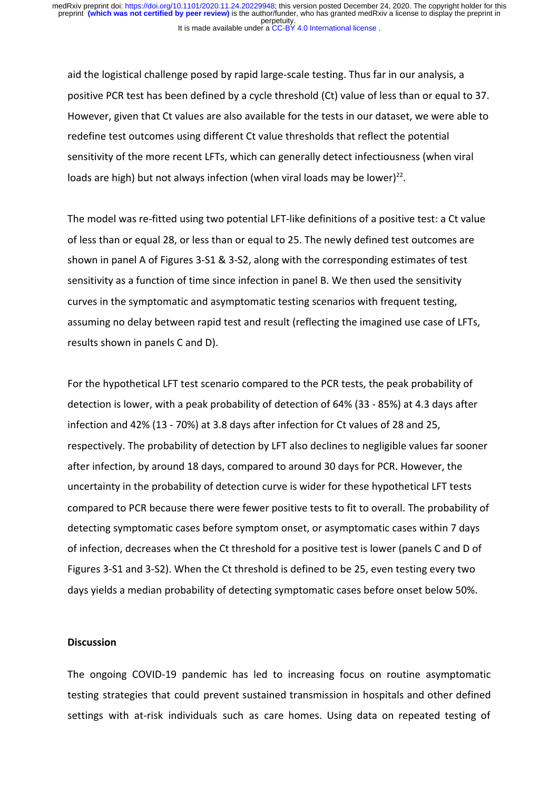aid the logistical challenge posed by rapid large-scale testing. Thus far in our analysis, a positive PCR test has been defined by a cycle threshold (Ct) value of less than or equal to 37. However, given that Ct values are also available for the tests in our dataset, we were able to redefine test outcomes using different Ct value thresholds that reflect the potential sensitivity of the more recent LFTs, which can generally detect infectiousness (when viral loads are high) but not always infection (when viral loads may be lower)<sup>22</sup>.

The model was re-fitted using two potential LFT-like definitions of a positive test: a Ct value of less than or equal 28, or less than or equal to 25. The newly defined test outcomes are shown in panel A of Figures 3-S1 & 3-S2, along with the corresponding estimates of test sensitivity as a function of time since infection in panel B. We then used the sensitivity curves in the symptomatic and asymptomatic testing scenarios with frequent testing, assuming no delay between rapid test and result (reflecting the imagined use case of LFTs, results shown in panels C and D).

For the hypothetical LFT test scenario compared to the PCR tests, the peak probability of detection is lower, with a peak probability of detection of 64% (33 - 85%) at 4.3 days after infection and 42% (13 - 70%) at 3.8 days after infection for Ct values of 28 and 25, respectively. The probability of detection by LFT also declines to negligible values far sooner after infection, by around 18 days, compared to around 30 days for PCR. However, the uncertainty in the probability of detection curve is wider for these hypothetical LFT tests compared to PCR because there were fewer positive tests to fit to overall. The probability of detecting symptomatic cases before symptom onset, or asymptomatic cases within 7 days of infection, decreases when the Ct threshold for a positive test is lower (panels C and D of Figures 3-S1 and 3-S2). When the Ct threshold is defined to be 25, even testing every two days yields a median probability of detecting symptomatic cases before onset below 50%.

#### **Discussion**

The ongoing COVID-19 pandemic has led to increasing focus on routine asymptomatic testing strategies that could prevent sustained transmission in hospitals and other defined settings with at-risk individuals such as care homes. Using data on repeated testing of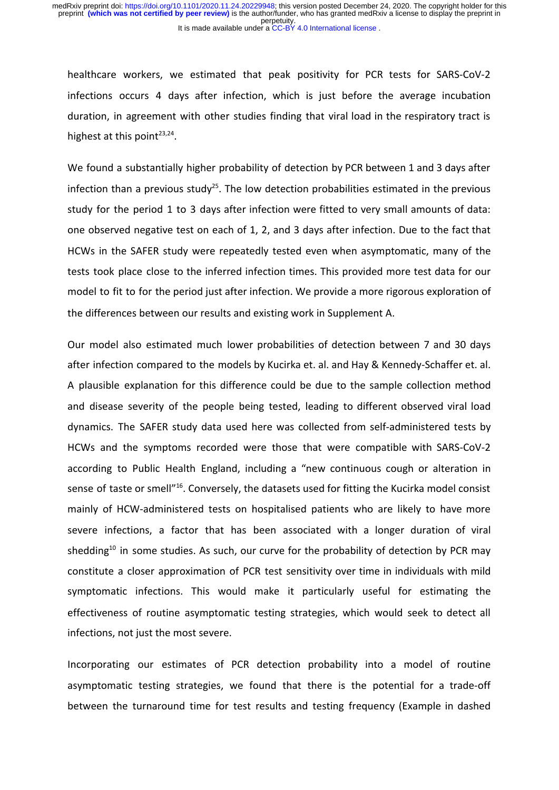healthcare workers, we estimated that peak positivity for PCR tests for SARS-CoV-2 infections occurs 4 days after infection, which is just before the average incubation duration, in agreement with other studies finding that viral load in the respiratory tract is highest at this point<sup>23,24</sup>.

We found a substantially higher probability of detection by PCR between 1 and 3 days after infection than a previous study<sup>25</sup>. The low detection probabilities estimated in the previous study for the period 1 to 3 days after infection were fitted to very small amounts of data: one observed negative test on each of 1, 2, and 3 days after infection. Due to the fact that HCWs in the SAFER study were repeatedly tested even when asymptomatic, many of the tests took place close to the inferred infection times. This provided more test data for our model to fit to for the period just after infection. We provide a more rigorous exploration of the differences between our results and existing work in Supplement A.

Our model also estimated much lower probabilities of detection between 7 and 30 days after infection compared to the models by Kucirka et. al. and Hay & Kennedy-Schaffer et. al. A plausible explanation for this difference could be due to the sample collection method and disease severity of the people being tested, leading to different observed viral load dynamics. The SAFER study data used here was collected from self-administered tests by HCWs and the symptoms recorded were those that were compatible with SARS-CoV-2 according to Public Health England, including a "new continuous cough or alteration in sense of taste or smell"<sup>16</sup>. Conversely, the datasets used for fitting the Kucirka model consist mainly of HCW-administered tests on hospitalised patients who are likely to have more severe infections, a factor that has been associated with a longer duration of viral shedding<sup>10</sup> in some studies. As such, our curve for the probability of detection by PCR may constitute a closer approximation of PCR test sensitivity over time in individuals with mild symptomatic infections. This would make it particularly useful for estimating the effectiveness of routine asymptomatic testing strategies, which would seek to detect all infections, not just the most severe.

Incorporating our estimates of PCR detection probability into a model of routine asymptomatic testing strategies, we found that there is the potential for a trade-off between the turnaround time for test results and testing frequency (Example in dashed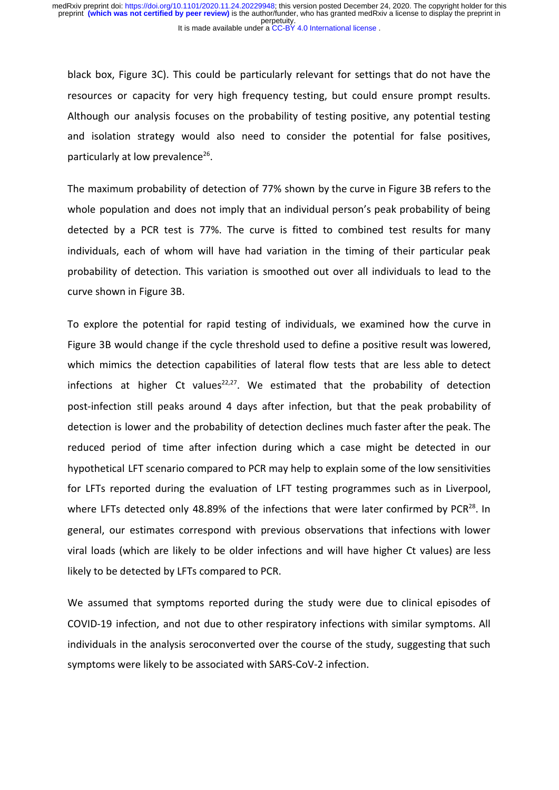black box, Figure 3C). This could be particularly relevant for settings that do not have the resources or capacity for very high frequency testing, but could ensure prompt results. Although our analysis focuses on the probability of testing positive, any potential testing and isolation strategy would also need to consider the potential for false positives, particularly at low prevalence<sup>26</sup>.

The maximum probability of detection of 77% shown by the curve in Figure 3B refers to the whole population and does not imply that an individual person's peak probability of being detected by a PCR test is 77%. The curve is fitted to combined test results for many individuals, each of whom will have had variation in the timing of their particular peak probability of detection. This variation is smoothed out over all individuals to lead to the curve shown in Figure 3B.

To explore the potential for rapid testing of individuals, we examined how the curve in Figure 3B would change if the cycle threshold used to define a positive result was lowered, which mimics the detection capabilities of lateral flow tests that are less able to detect infections at higher Ct values $22,27$ . We estimated that the probability of detection post-infection still peaks around 4 days after infection, but that the peak probability of detection is lower and the probability of detection declines much faster after the peak. The reduced period of time after infection during which a case might be detected in our hypothetical LFT scenario compared to PCR may help to explain some of the low sensitivities for LFTs reported during the evaluation of LFT testing programmes such as in Liverpool, where LFTs detected only 48.89% of the infections that were later confirmed by PCR<sup>28</sup>. In general, our estimates correspond with previous observations that infections with lower viral loads (which are likely to be older infections and will have higher Ct values) are less likely to be detected by LFTs compared to PCR.

We assumed that symptoms reported during the study were due to clinical episodes of COVID-19 infection, and not due to other respiratory infections with similar symptoms. All individuals in the analysis seroconverted over the course of the study, suggesting that such symptoms were likely to be associated with SARS-CoV-2 infection.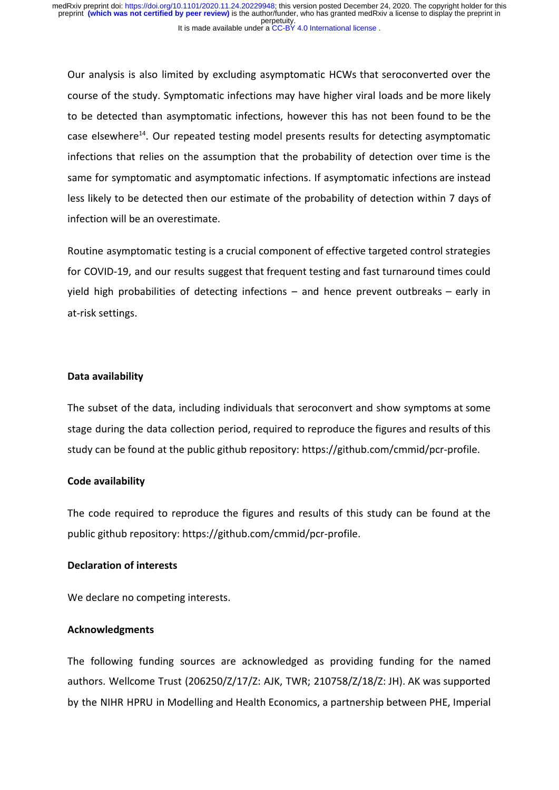It is made available under a CC-BY 4.0 International license. perpetuity. preprint **(which was not certified by peer review)** is the author/funder, who has granted medRxiv a license to display the preprint in medRxiv preprint doi: [https://doi.org/10.1101/2020.11.24.20229948;](https://doi.org/10.1101/2020.11.24.20229948) this version posted December 24, 2020. The copyright holder for this

Our analysis is also limited by excluding asymptomatic HCWs that seroconverted over the course of the study. Symptomatic infections may have higher viral loads and be more likely to be detected than asymptomatic infections, however this has not been found to be the case elsewhere<sup>14</sup>. Our repeated testing model presents results for detecting asymptomatic infections that relies on the assumption that the probability of detection over time is the same for symptomatic and asymptomatic infections. If asymptomatic infections are instead less likely to be detected then our estimate of the probability of detection within 7 days of infection will be an overestimate.

Routine asymptomatic testing is a crucial component of effective targeted control strategies for COVID-19, and our results suggest that frequent testing and fast turnaround times could yield high probabilities of detecting infections – and hence prevent outbreaks – early in at-risk settings.

### **Data availability**

The subset of the data, including individuals that seroconvert and show symptoms at some stage during the data collection period, required to reproduce the figures and results of this study can be found at the public github repository: https://github.com/cmmid/pcr-profile.

### **Code availability**

The code required to reproduce the figures and results of this study can be found at the public github repository: https://github.com/cmmid/pcr-profile.

### **Declaration of interests**

We declare no competing interests.

### **Acknowledgments**

The following funding sources are acknowledged as providing funding for the named authors. Wellcome Trust (206250/Z/17/Z: AJK, TWR; 210758/Z/18/Z: JH). AK was supported by the NIHR HPRU in Modelling and Health Economics, a partnership between PHE, Imperial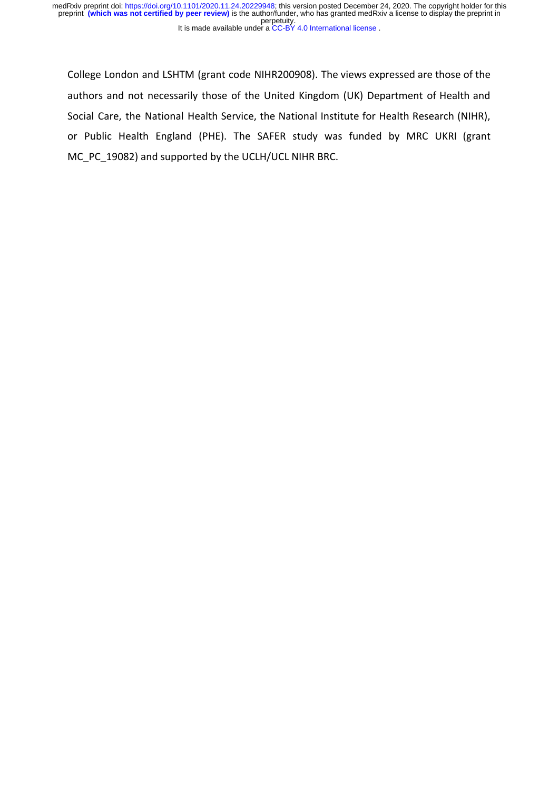perpetuity. medRxiv preprint doi: [https://doi.org/10.1101/2020.11.24.20229948;](https://doi.org/10.1101/2020.11.24.20229948) this version posted December 24, 2020. The copyright holder for this<br>preprint (which was not certified by peer review) is the author/funder, who has grante

It is made available under a CC-BY 4.0 International license.

College London and LSHTM (grant code NIHR200908). The views expressed are those of the authors and not necessarily those of the United Kingdom (UK) Department of Health and Social Care, the National Health Service, the National Institute for Health Research (NIHR), or Public Health England (PHE). The SAFER study was funded by MRC UKRI (grant MC\_PC\_19082) and supported by the UCLH/UCL NIHR BRC.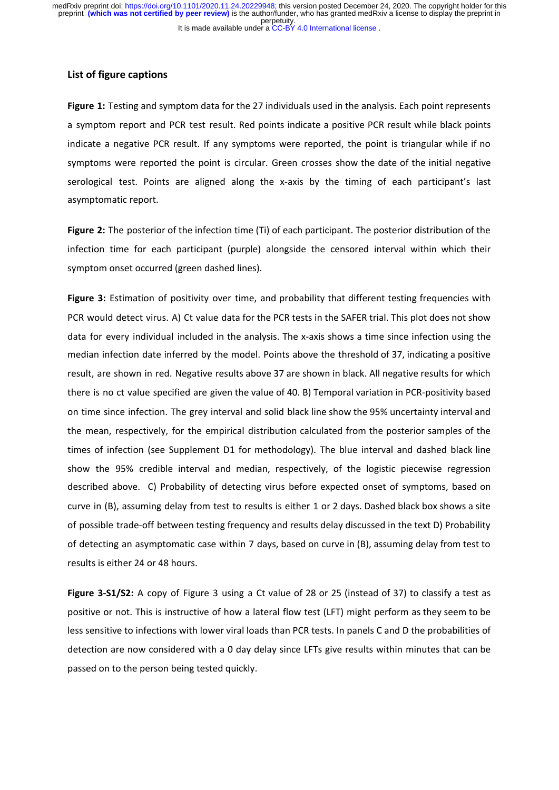It is made available under a CC-BY 4.0 International license. perpetuity. preprint **(which was not certified by peer review)** is the author/funder, who has granted medRxiv a license to display the preprint in medRxiv preprint doi: [https://doi.org/10.1101/2020.11.24.20229948;](https://doi.org/10.1101/2020.11.24.20229948) this version posted December 24, 2020. The copyright holder for this

### **List of figure captions**

**Figure 1:** Testing and symptom data for the 27 individuals used in the analysis. Each point represents a symptom report and PCR test result. Red points indicate a positive PCR result while black points indicate a negative PCR result. If any symptoms were reported, the point is triangular while if no symptoms were reported the point is circular. Green crosses show the date of the initial negative serological test. Points are aligned along the x-axis by the timing of each participant's last asymptomatic report.

**Figure 2:** The posterior of the infection time (Ti) of each participant. The posterior distribution of the infection time for each participant (purple) alongside the censored interval within which their symptom onset occurred (green dashed lines).

**Figure 3:** Estimation of positivity over time, and probability that different testing frequencies with PCR would detect virus. A) Ct value data for the PCR tests in the SAFER trial. This plot does not show data for every individual included in the analysis. The x-axis shows a time since infection using the median infection date inferred by the model. Points above the threshold of 37, indicating a positive result, are shown in red. Negative results above 37 are shown in black. All negative results for which there is no ct value specified are given the value of 40. B) Temporal variation in PCR-positivity based on time since infection. The grey interval and solid black line show the 95% uncertainty interval and the mean, respectively, for the empirical distribution calculated from the posterior samples of the times of infection (see Supplement D1 for methodology). The blue interval and dashed black line show the 95% credible interval and median, respectively, of the logistic piecewise regression described above. C) Probability of detecting virus before expected onset of symptoms, based on curve in (B), assuming delay from test to results is either 1 or 2 days. Dashed black box shows a site of possible trade-off between testing frequency and results delay discussed in the text D) Probability of detecting an asymptomatic case within 7 days, based on curve in (B), assuming delay from test to results is either 24 or 48 hours.

**Figure 3-S1/S2:** A copy of Figure 3 using a Ct value of 28 or 25 (instead of 37) to classify a test as positive or not. This is instructive of how a lateral flow test (LFT) might perform as they seem to be less sensitive to infections with lower viral loads than PCR tests. In panels C and D the probabilities of detection are now considered with a 0 day delay since LFTs give results within minutes that can be passed on to the person being tested quickly.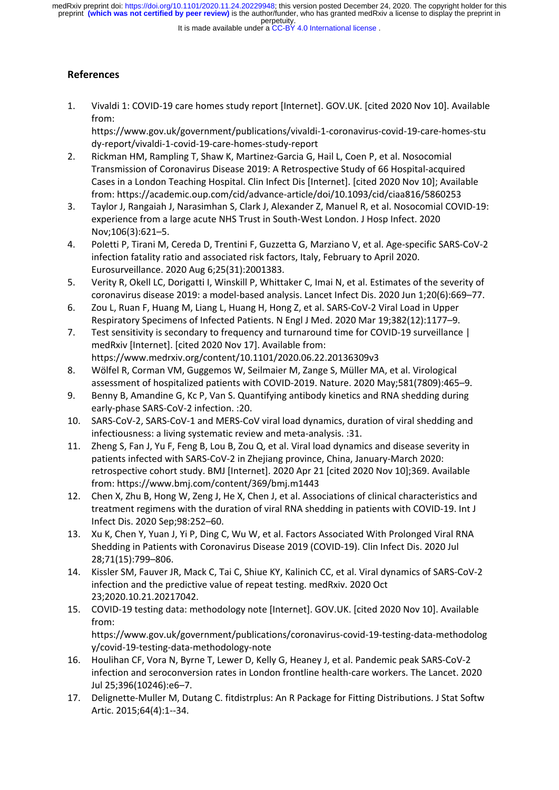#### It is made available under a CC-BY 4.0 International license.

## **References**

1. Vivaldi 1: COVID-19 care homes study report [Internet]. GOV.UK. [cited 2020 Nov 10]. Available from:

https://www.gov.uk/government/publications/vivaldi-1-coronavirus-covid-19-care-homes-stu dy-report/vivaldi-1-covid-19-care-homes-study-report

- 2. Rickman HM, Rampling T, Shaw K, Martinez-Garcia G, Hail L, Coen P, et al. Nosocomial Transmission of Coronavirus Disease 2019: A Retrospective Study of 66 Hospital-acquired Cases in a London Teaching Hospital. Clin Infect Dis [Internet]. [cited 2020 Nov 10]; Available from: https://academic.oup.com/cid/advance-article/doi/10.1093/cid/ciaa816/5860253
- 3. Taylor J, Rangaiah J, Narasimhan S, Clark J, Alexander Z, Manuel R, et al. Nosocomial COVID-19: experience from a large acute NHS Trust in South-West London. J Hosp Infect. 2020 Nov;106(3):621–5.
- 4. Poletti P, Tirani M, Cereda D, Trentini F, Guzzetta G, Marziano V, et al. Age-specific SARS-CoV-2 infection fatality ratio and associated risk factors, Italy, February to April 2020. Eurosurveillance. 2020 Aug 6;25(31):2001383.
- 5. Verity R, Okell LC, Dorigatti I, Winskill P, Whittaker C, Imai N, et al. Estimates of the severity of coronavirus disease 2019: a model-based analysis. Lancet Infect Dis. 2020 Jun 1;20(6):669–77.
- 6. Zou L, Ruan F, Huang M, Liang L, Huang H, Hong Z, et al. SARS-CoV-2 Viral Load in Upper Respiratory Specimens of Infected Patients. N Engl J Med. 2020 Mar 19;382(12):1177–9.
- 7. Test sensitivity is secondary to frequency and turnaround time for COVID-19 surveillance | medRxiv [Internet]. [cited 2020 Nov 17]. Available from: https://www.medrxiv.org/content/10.1101/2020.06.22.20136309v3
- 8. Wölfel R, Corman VM, Guggemos W, Seilmaier M, Zange S, Müller MA, et al. Virological assessment of hospitalized patients with COVID-2019. Nature. 2020 May;581(7809):465–9.
- 9. Benny B, Amandine G, Kc P, Van S. Quantifying antibody kinetics and RNA shedding during early-phase SARS-CoV-2 infection. :20.
- 10. SARS-CoV-2, SARS-CoV-1 and MERS-CoV viral load dynamics, duration of viral shedding and infectiousness: a living systematic review and meta-analysis. :31.
- 11. Zheng S, Fan J, Yu F, Feng B, Lou B, Zou Q, et al. Viral load dynamics and disease severity in patients infected with SARS-CoV-2 in Zhejiang province, China, January-March 2020: retrospective cohort study. BMJ [Internet]. 2020 Apr 21 [cited 2020 Nov 10];369. Available from: https://www.bmj.com/content/369/bmj.m1443
- 12. Chen X, Zhu B, Hong W, Zeng J, He X, Chen J, et al. Associations of clinical characteristics and treatment regimens with the duration of viral RNA shedding in patients with COVID-19. Int J Infect Dis. 2020 Sep;98:252–60.
- 13. Xu K, Chen Y, Yuan J, Yi P, Ding C, Wu W, et al. Factors Associated With Prolonged Viral RNA Shedding in Patients with Coronavirus Disease 2019 (COVID-19). Clin Infect Dis. 2020 Jul 28;71(15):799–806.
- 14. Kissler SM, Fauver JR, Mack C, Tai C, Shiue KY, Kalinich CC, et al. Viral dynamics of SARS-CoV-2 infection and the predictive value of repeat testing. medRxiv. 2020 Oct 23;2020.10.21.20217042.
- 15. COVID-19 testing data: methodology note [Internet]. GOV.UK. [cited 2020 Nov 10]. Available from: https://www.gov.uk/government/publications/coronavirus-covid-19-testing-data-methodolog y/covid-19-testing-data-methodology-note
- 16. Houlihan CF, Vora N, Byrne T, Lewer D, Kelly G, Heaney J, et al. Pandemic peak SARS-CoV-2 infection and seroconversion rates in London frontline health-care workers. The Lancet. 2020 Jul 25;396(10246):e6–7.
- 17. Delignette-Muller M, Dutang C. fitdistrplus: An R Package for Fitting Distributions. J Stat Softw Artic. 2015;64(4):1--34.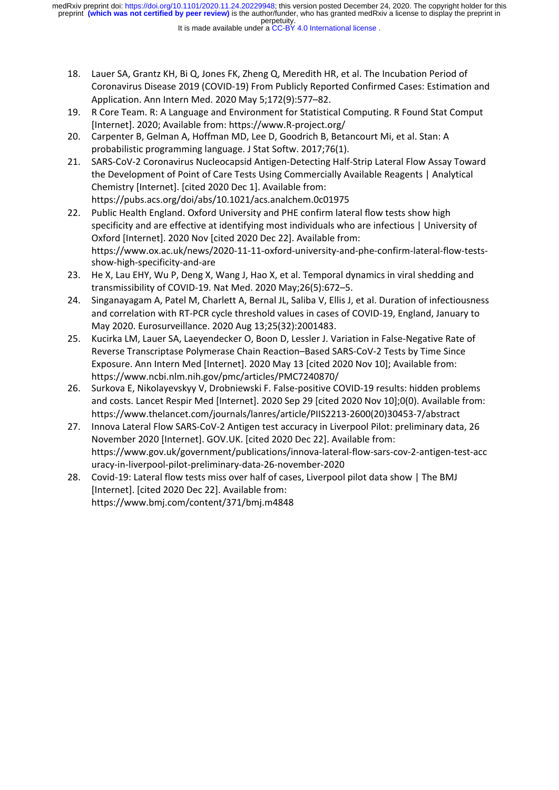perpetuity. preprint **(which was not certified by peer review)** is the author/funder, who has granted medRxiv a license to display the preprint in medRxiv preprint doi: [https://doi.org/10.1101/2020.11.24.20229948;](https://doi.org/10.1101/2020.11.24.20229948) this version posted December 24, 2020. The copyright holder for this

- It is made available under a CC-BY 4.0 International license.
- 18. Lauer SA, Grantz KH, Bi Q, Jones FK, Zheng Q, Meredith HR, et al. The Incubation Period of Coronavirus Disease 2019 (COVID-19) From Publicly Reported Confirmed Cases: Estimation and Application. Ann Intern Med. 2020 May 5;172(9):577–82.
- 19. R Core Team. R: A Language and Environment for Statistical Computing. R Found Stat Comput [Internet]. 2020; Available from: https://www.R-project.org/
- 20. Carpenter B, Gelman A, Hoffman MD, Lee D, Goodrich B, Betancourt Mi, et al. Stan: A probabilistic programming language. J Stat Softw. 2017;76(1).
- 21. SARS-CoV-2 Coronavirus Nucleocapsid Antigen-Detecting Half-Strip Lateral Flow Assay Toward the Development of Point of Care Tests Using Commercially Available Reagents | Analytical Chemistry [Internet]. [cited 2020 Dec 1]. Available from: https://pubs.acs.org/doi/abs/10.1021/acs.analchem.0c01975
- 22. Public Health England. Oxford University and PHE confirm lateral flow tests show high specificity and are effective at identifying most individuals who are infectious | University of Oxford [Internet]. 2020 Nov [cited 2020 Dec 22]. Available from: https://www.ox.ac.uk/news/2020-11-11-oxford-university-and-phe-confirm-lateral-flow-testsshow-high-specificity-and-are
- 23. He X, Lau EHY, Wu P, Deng X, Wang J, Hao X, et al. Temporal dynamics in viral shedding and transmissibility of COVID-19. Nat Med. 2020 May;26(5):672–5.
- 24. Singanayagam A, Patel M, Charlett A, Bernal JL, Saliba V, Ellis J, et al. Duration of infectiousness and correlation with RT-PCR cycle threshold values in cases of COVID-19, England, January to May 2020. Eurosurveillance. 2020 Aug 13;25(32):2001483.
- 25. Kucirka LM, Lauer SA, Laeyendecker O, Boon D, Lessler J. Variation in False-Negative Rate of Reverse Transcriptase Polymerase Chain Reaction–Based SARS-CoV-2 Tests by Time Since Exposure. Ann Intern Med [Internet]. 2020 May 13 [cited 2020 Nov 10]; Available from: https://www.ncbi.nlm.nih.gov/pmc/articles/PMC7240870/
- 26. Surkova E, Nikolayevskyy V, Drobniewski F. False-positive COVID-19 results: hidden problems and costs. Lancet Respir Med [Internet]. 2020 Sep 29 [cited 2020 Nov 10];0(0). Available from: https://www.thelancet.com/journals/lanres/article/PIIS2213-2600(20)30453-7/abstract
- 27. Innova Lateral Flow SARS-CoV-2 Antigen test accuracy in Liverpool Pilot: preliminary data, 26 November 2020 [Internet]. GOV.UK. [cited 2020 Dec 22]. Available from: https://www.gov.uk/government/publications/innova-lateral-flow-sars-cov-2-antigen-test-acc uracy-in-liverpool-pilot-preliminary-data-26-november-2020
- 28. Covid-19: Lateral flow tests miss over half of cases, Liverpool pilot data show | The BMJ [Internet]. [cited 2020 Dec 22]. Available from: https://www.bmj.com/content/371/bmj.m4848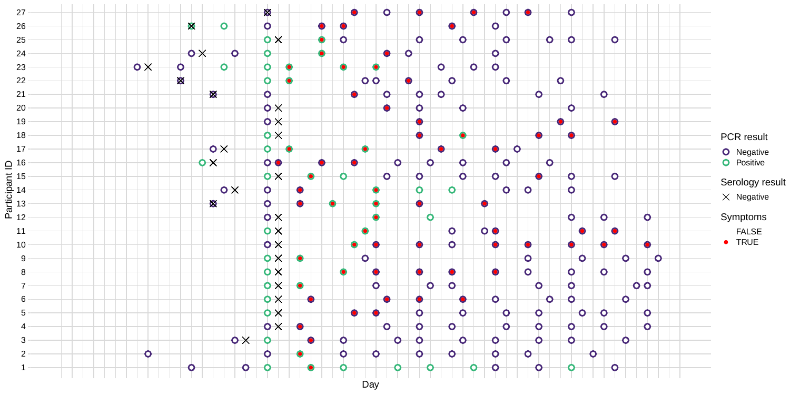

- FALSE
- **•** TRUE

PCR result O Negative **O** Positive Serology result  $\times$  Negative Symptoms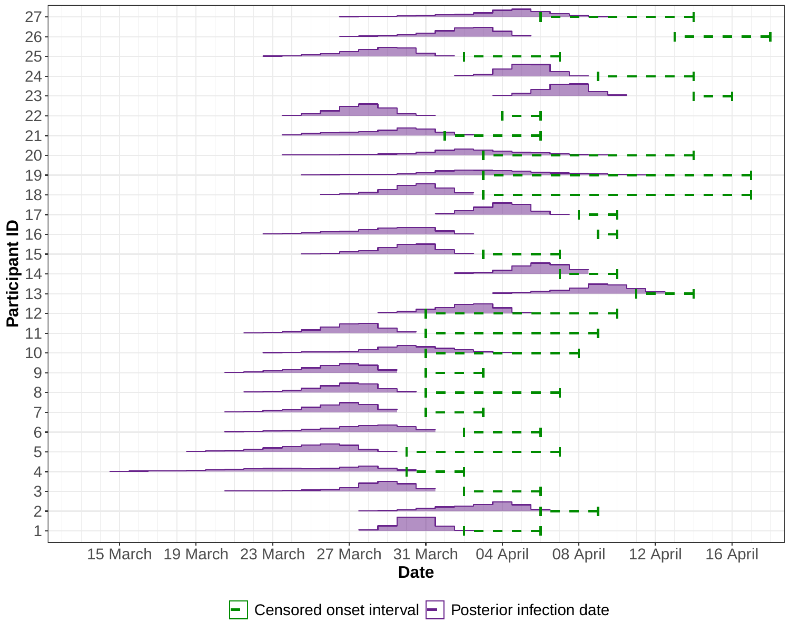

Censored onset interval  $\boxed{\phantom{1}}$  Posterior infection date ⊢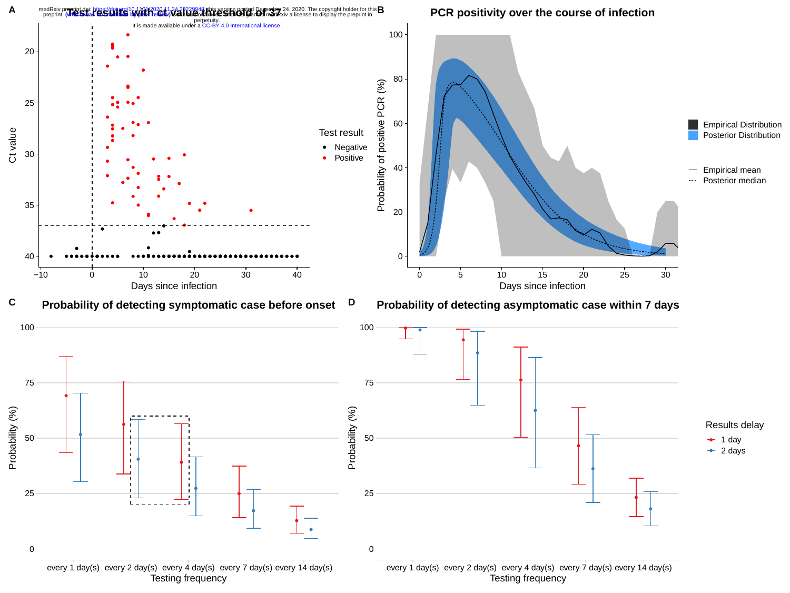

Testing frequency

Testing frequency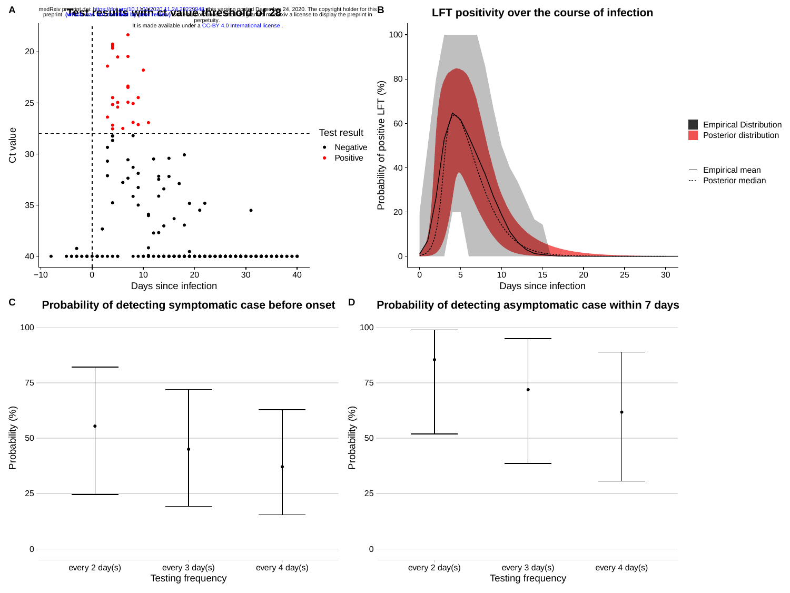Empirical Distribution Posterior distribution